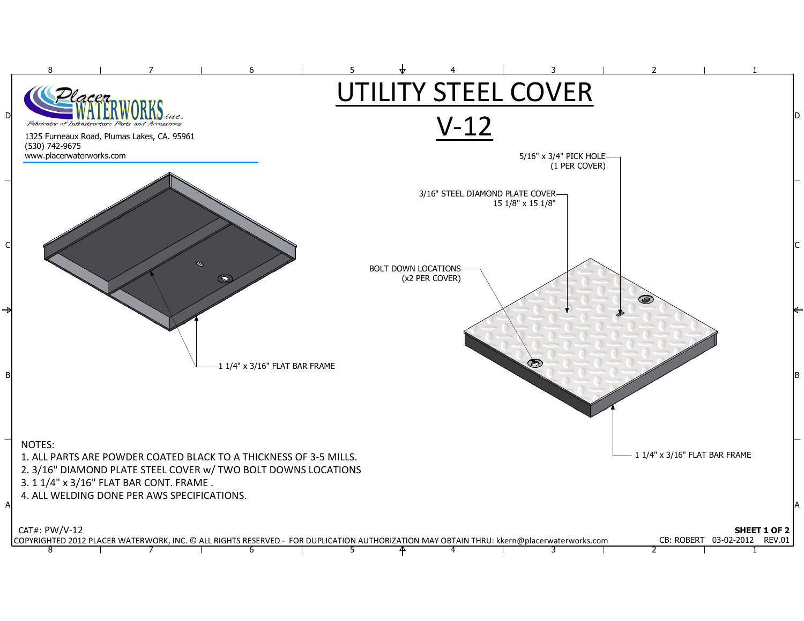